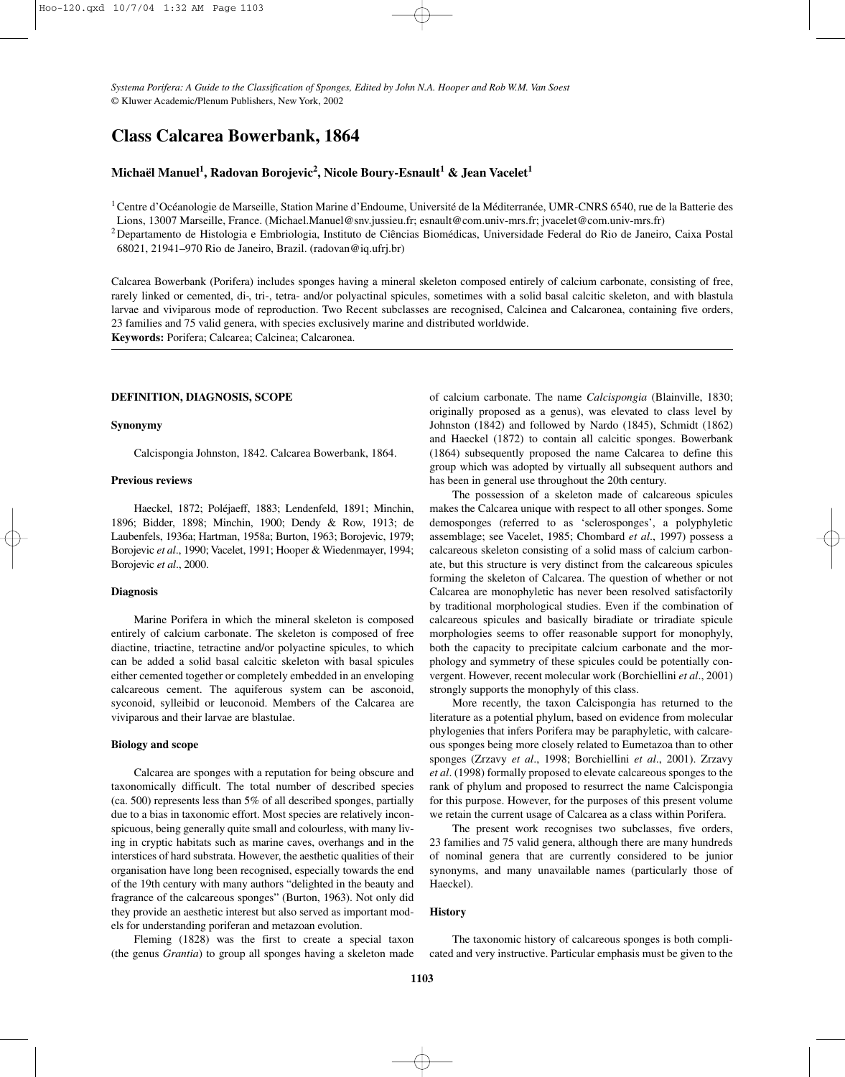*Systema Porifera: A Guide to the Classification of Sponges, Edited by John N.A. Hooper and Rob W.M. Van Soest* © Kluwer Academic/Plenum Publishers, New York, 2002

# **Class Calcarea Bowerbank, 1864**

## **Michaël Manuel1 , Radovan Borojevic2 , Nicole Boury-Esnault<sup>1</sup> & Jean Vacelet<sup>1</sup>**

<sup>1</sup> Centre d'Océanologie de Marseille, Station Marine d'Endoume, Université de la Méditerranée, UMR-CNRS 6540, rue de la Batterie des

Lions, 13007 Marseille, France. (Michael.Manuel@snv.jussieu.fr; esnault@com.univ-mrs.fr; jvacelet@com.univ-mrs.fr)

2Departamento de Histologia e Embriologia, Instituto de Ciências Biomédicas, Universidade Federal do Rio de Janeiro, Caixa Postal 68021, 21941–970 Rio de Janeiro, Brazil. (radovan@iq.ufrj.br)

Calcarea Bowerbank (Porifera) includes sponges having a mineral skeleton composed entirely of calcium carbonate, consisting of free, rarely linked or cemented, di-, tri-, tetra- and/or polyactinal spicules, sometimes with a solid basal calcitic skeleton, and with blastula larvae and viviparous mode of reproduction. Two Recent subclasses are recognised, Calcinea and Calcaronea, containing five orders, 23 families and 75 valid genera, with species exclusively marine and distributed worldwide. **Keywords:** Porifera; Calcarea; Calcinea; Calcaronea.

#### **DEFINITION, DIAGNOSIS, SCOPE**

#### **Synonymy**

Calcispongia Johnston, 1842. Calcarea Bowerbank, 1864.

#### **Previous reviews**

Haeckel, 1872; Poléjaeff, 1883; Lendenfeld, 1891; Minchin, 1896; Bidder, 1898; Minchin, 1900; Dendy & Row, 1913; de Laubenfels, 1936a; Hartman, 1958a; Burton, 1963; Borojevic, 1979; Borojevic *et al*., 1990; Vacelet, 1991; Hooper & Wiedenmayer, 1994; Borojevic *et al*., 2000.

## **Diagnosis**

Marine Porifera in which the mineral skeleton is composed entirely of calcium carbonate. The skeleton is composed of free diactine, triactine, tetractine and/or polyactine spicules, to which can be added a solid basal calcitic skeleton with basal spicules either cemented together or completely embedded in an enveloping calcareous cement. The aquiferous system can be asconoid, syconoid, sylleibid or leuconoid. Members of the Calcarea are viviparous and their larvae are blastulae.

#### **Biology and scope**

Calcarea are sponges with a reputation for being obscure and taxonomically difficult. The total number of described species (ca. 500) represents less than 5% of all described sponges, partially due to a bias in taxonomic effort. Most species are relatively inconspicuous, being generally quite small and colourless, with many living in cryptic habitats such as marine caves, overhangs and in the interstices of hard substrata. However, the aesthetic qualities of their organisation have long been recognised, especially towards the end of the 19th century with many authors "delighted in the beauty and fragrance of the calcareous sponges" (Burton, 1963). Not only did they provide an aesthetic interest but also served as important models for understanding poriferan and metazoan evolution.

Fleming (1828) was the first to create a special taxon (the genus *Grantia*) to group all sponges having a skeleton made of calcium carbonate. The name *Calcispongia* (Blainville, 1830; originally proposed as a genus), was elevated to class level by Johnston (1842) and followed by Nardo (1845), Schmidt (1862) and Haeckel (1872) to contain all calcitic sponges. Bowerbank (1864) subsequently proposed the name Calcarea to define this group which was adopted by virtually all subsequent authors and has been in general use throughout the 20th century.

The possession of a skeleton made of calcareous spicules makes the Calcarea unique with respect to all other sponges. Some demosponges (referred to as 'sclerosponges', a polyphyletic assemblage; see Vacelet, 1985; Chombard *et al*., 1997) possess a calcareous skeleton consisting of a solid mass of calcium carbonate, but this structure is very distinct from the calcareous spicules forming the skeleton of Calcarea. The question of whether or not Calcarea are monophyletic has never been resolved satisfactorily by traditional morphological studies. Even if the combination of calcareous spicules and basically biradiate or triradiate spicule morphologies seems to offer reasonable support for monophyly, both the capacity to precipitate calcium carbonate and the morphology and symmetry of these spicules could be potentially convergent. However, recent molecular work (Borchiellini *et al*., 2001) strongly supports the monophyly of this class.

More recently, the taxon Calcispongia has returned to the literature as a potential phylum, based on evidence from molecular phylogenies that infers Porifera may be paraphyletic, with calcareous sponges being more closely related to Eumetazoa than to other sponges (Zrzavy *et al*., 1998; Borchiellini *et al*., 2001). Zrzavy *et al*. (1998) formally proposed to elevate calcareous sponges to the rank of phylum and proposed to resurrect the name Calcispongia for this purpose. However, for the purposes of this present volume we retain the current usage of Calcarea as a class within Porifera.

The present work recognises two subclasses, five orders, 23 families and 75 valid genera, although there are many hundreds of nominal genera that are currently considered to be junior synonyms, and many unavailable names (particularly those of Haeckel).

## **History**

The taxonomic history of calcareous sponges is both complicated and very instructive. Particular emphasis must be given to the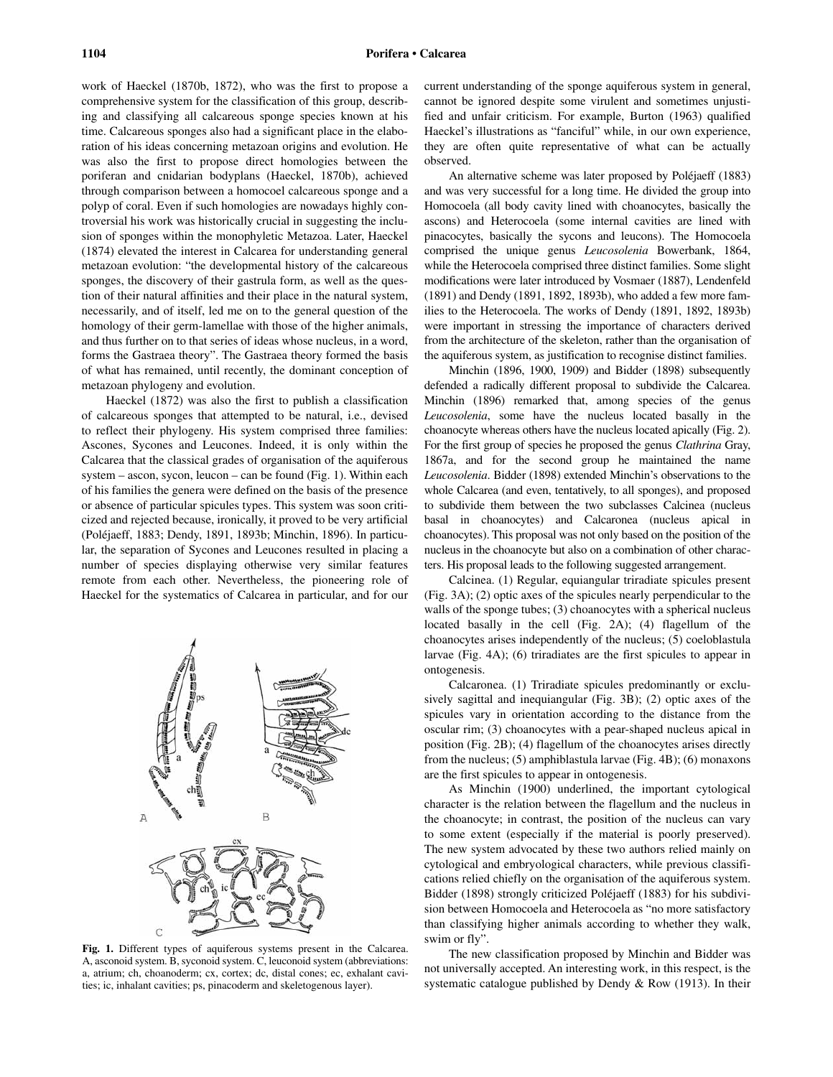work of Haeckel (1870b, 1872), who was the first to propose a comprehensive system for the classification of this group, describing and classifying all calcareous sponge species known at his time. Calcareous sponges also had a significant place in the elaboration of his ideas concerning metazoan origins and evolution. He was also the first to propose direct homologies between the poriferan and cnidarian bodyplans (Haeckel, 1870b), achieved through comparison between a homocoel calcareous sponge and a polyp of coral. Even if such homologies are nowadays highly controversial his work was historically crucial in suggesting the inclusion of sponges within the monophyletic Metazoa. Later, Haeckel (1874) elevated the interest in Calcarea for understanding general metazoan evolution: "the developmental history of the calcareous sponges, the discovery of their gastrula form, as well as the question of their natural affinities and their place in the natural system, necessarily, and of itself, led me on to the general question of the homology of their germ-lamellae with those of the higher animals, and thus further on to that series of ideas whose nucleus, in a word, forms the Gastraea theory". The Gastraea theory formed the basis of what has remained, until recently, the dominant conception of metazoan phylogeny and evolution.

Haeckel (1872) was also the first to publish a classification of calcareous sponges that attempted to be natural, i.e., devised to reflect their phylogeny. His system comprised three families: Ascones, Sycones and Leucones. Indeed, it is only within the Calcarea that the classical grades of organisation of the aquiferous system – ascon, sycon, leucon – can be found (Fig. 1). Within each of his families the genera were defined on the basis of the presence or absence of particular spicules types. This system was soon criticized and rejected because, ironically, it proved to be very artificial (Poléjaeff, 1883; Dendy, 1891, 1893b; Minchin, 1896). In particular, the separation of Sycones and Leucones resulted in placing a number of species displaying otherwise very similar features remote from each other. Nevertheless, the pioneering role of Haeckel for the systematics of Calcarea in particular, and for our



**Fig. 1.** Different types of aquiferous systems present in the Calcarea. A, asconoid system. B, syconoid system. C, leuconoid system (abbreviations: a, atrium; ch, choanoderm; cx, cortex; dc, distal cones; ec, exhalant cavities; ic, inhalant cavities; ps, pinacoderm and skeletogenous layer).

current understanding of the sponge aquiferous system in general, cannot be ignored despite some virulent and sometimes unjustified and unfair criticism. For example, Burton (1963) qualified Haeckel's illustrations as "fanciful" while, in our own experience, they are often quite representative of what can be actually observed.

An alternative scheme was later proposed by Poléjaeff (1883) and was very successful for a long time. He divided the group into Homocoela (all body cavity lined with choanocytes, basically the ascons) and Heterocoela (some internal cavities are lined with pinacocytes, basically the sycons and leucons). The Homocoela comprised the unique genus *Leucosolenia* Bowerbank, 1864, while the Heterocoela comprised three distinct families. Some slight modifications were later introduced by Vosmaer (1887), Lendenfeld (1891) and Dendy (1891, 1892, 1893b), who added a few more families to the Heterocoela. The works of Dendy (1891, 1892, 1893b) were important in stressing the importance of characters derived from the architecture of the skeleton, rather than the organisation of the aquiferous system, as justification to recognise distinct families.

Minchin (1896, 1900, 1909) and Bidder (1898) subsequently defended a radically different proposal to subdivide the Calcarea. Minchin (1896) remarked that, among species of the genus *Leucosolenia*, some have the nucleus located basally in the choanocyte whereas others have the nucleus located apically (Fig. 2). For the first group of species he proposed the genus *Clathrina* Gray, 1867a, and for the second group he maintained the name *Leucosolenia*. Bidder (1898) extended Minchin's observations to the whole Calcarea (and even, tentatively, to all sponges), and proposed to subdivide them between the two subclasses Calcinea (nucleus basal in choanocytes) and Calcaronea (nucleus apical in choanocytes). This proposal was not only based on the position of the nucleus in the choanocyte but also on a combination of other characters. His proposal leads to the following suggested arrangement.

Calcinea. (1) Regular, equiangular triradiate spicules present (Fig. 3A); (2) optic axes of the spicules nearly perpendicular to the walls of the sponge tubes; (3) choanocytes with a spherical nucleus located basally in the cell (Fig. 2A); (4) flagellum of the choanocytes arises independently of the nucleus; (5) coeloblastula larvae (Fig. 4A); (6) triradiates are the first spicules to appear in ontogenesis.

Calcaronea. (1) Triradiate spicules predominantly or exclusively sagittal and inequiangular (Fig. 3B); (2) optic axes of the spicules vary in orientation according to the distance from the oscular rim; (3) choanocytes with a pear-shaped nucleus apical in position (Fig. 2B); (4) flagellum of the choanocytes arises directly from the nucleus; (5) amphiblastula larvae (Fig. 4B); (6) monaxons are the first spicules to appear in ontogenesis.

As Minchin (1900) underlined, the important cytological character is the relation between the flagellum and the nucleus in the choanocyte; in contrast, the position of the nucleus can vary to some extent (especially if the material is poorly preserved). The new system advocated by these two authors relied mainly on cytological and embryological characters, while previous classifications relied chiefly on the organisation of the aquiferous system. Bidder (1898) strongly criticized Poléjaeff (1883) for his subdivision between Homocoela and Heterocoela as "no more satisfactory than classifying higher animals according to whether they walk, swim or fly".

The new classification proposed by Minchin and Bidder was not universally accepted. An interesting work, in this respect, is the systematic catalogue published by Dendy & Row (1913). In their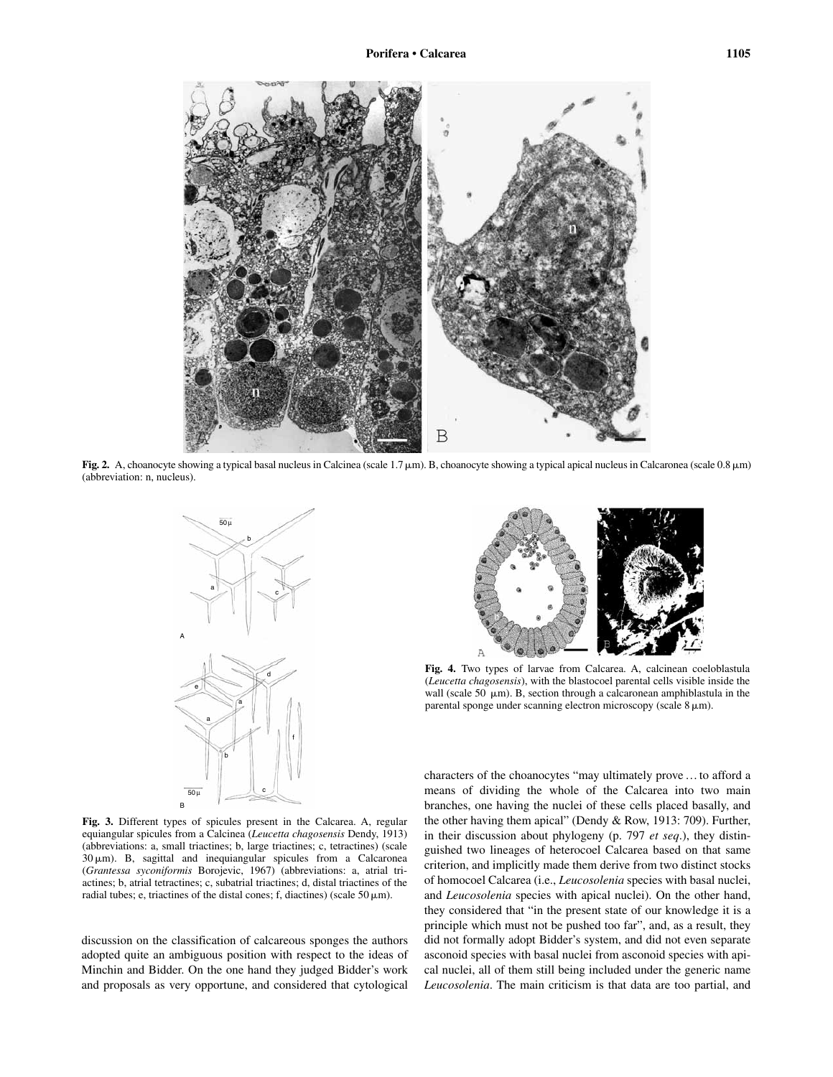

Fig. 2. A, choanocyte showing a typical basal nucleus in Calcinea (scale 1.7  $\mu$ m). B, choanocyte showing a typical apical nucleus in Calcaronea (scale 0.8  $\mu$ m) (abbreviation: n, nucleus).



**Fig. 3.** Different types of spicules present in the Calcarea. A, regular equiangular spicules from a Calcinea (*Leucetta chagosensis* Dendy, 1913) (abbreviations: a, small triactines; b, large triactines; c, tetractines) (scale 30  $\mu$ m). B, sagittal and inequiangular spicules from a Calcaronea (*Grantessa syconiformis* Borojevic, 1967) (abbreviations: a, atrial triactines; b, atrial tetractines; c, subatrial triactines; d, distal triactines of the radial tubes; e, triactines of the distal cones; f, diactines) (scale  $50 \mu m$ ).

discussion on the classification of calcareous sponges the authors adopted quite an ambiguous position with respect to the ideas of Minchin and Bidder. On the one hand they judged Bidder's work and proposals as very opportune, and considered that cytological



**Fig. 4.** Two types of larvae from Calcarea. A, calcinean coeloblastula (*Leucetta chagosensis*), with the blastocoel parental cells visible inside the wall (scale 50  $\mu$ m). B, section through a calcaronean amphiblastula in the parental sponge under scanning electron microscopy (scale  $8 \mu m$ ).

characters of the choanocytes "may ultimately prove … to afford a means of dividing the whole of the Calcarea into two main branches, one having the nuclei of these cells placed basally, and the other having them apical" (Dendy & Row, 1913: 709). Further, in their discussion about phylogeny (p. 797 *et seq*.), they distinguished two lineages of heterocoel Calcarea based on that same criterion, and implicitly made them derive from two distinct stocks of homocoel Calcarea (i.e., *Leucosolenia* species with basal nuclei, and *Leucosolenia* species with apical nuclei). On the other hand, they considered that "in the present state of our knowledge it is a principle which must not be pushed too far", and, as a result, they did not formally adopt Bidder's system, and did not even separate asconoid species with basal nuclei from asconoid species with apical nuclei, all of them still being included under the generic name *Leucosolenia*. The main criticism is that data are too partial, and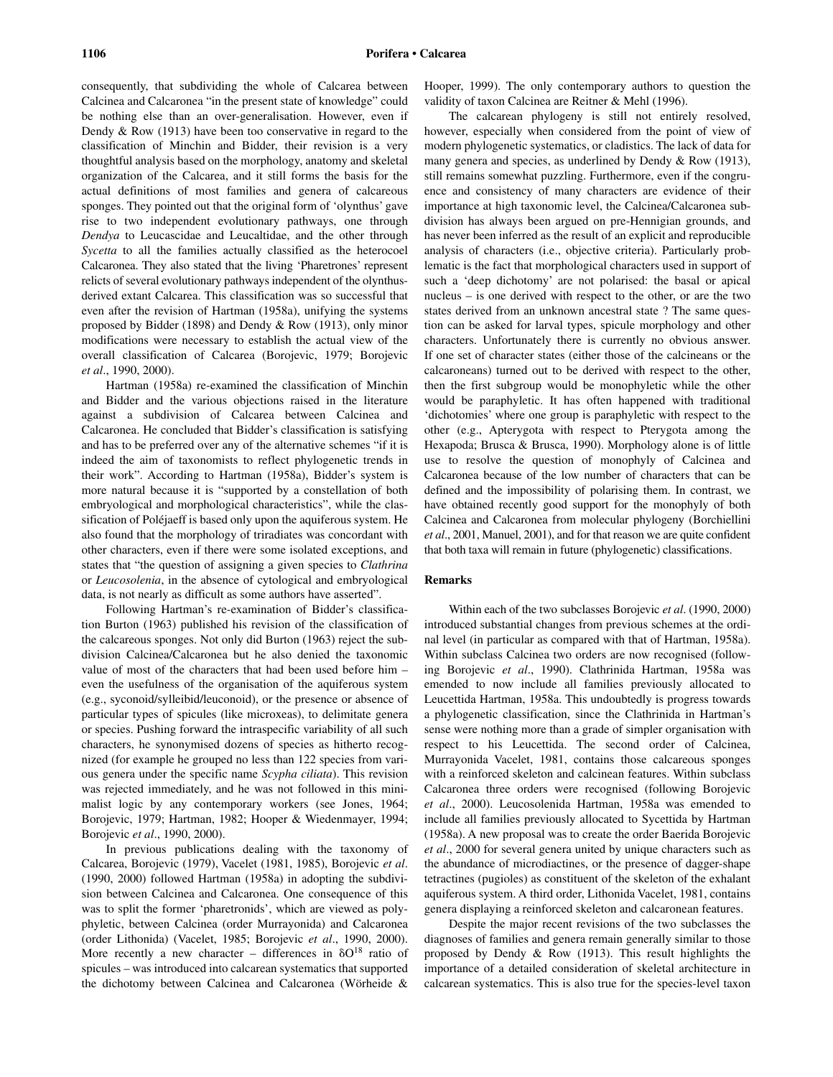consequently, that subdividing the whole of Calcarea between Calcinea and Calcaronea "in the present state of knowledge" could be nothing else than an over-generalisation. However, even if Dendy & Row (1913) have been too conservative in regard to the classification of Minchin and Bidder, their revision is a very thoughtful analysis based on the morphology, anatomy and skeletal organization of the Calcarea, and it still forms the basis for the actual definitions of most families and genera of calcareous sponges. They pointed out that the original form of 'olynthus' gave rise to two independent evolutionary pathways, one through *Dendya* to Leucascidae and Leucaltidae, and the other through *Sycetta* to all the families actually classified as the heterocoel Calcaronea. They also stated that the living 'Pharetrones' represent relicts of several evolutionary pathways independent of the olynthusderived extant Calcarea. This classification was so successful that even after the revision of Hartman (1958a), unifying the systems proposed by Bidder (1898) and Dendy & Row (1913), only minor modifications were necessary to establish the actual view of the overall classification of Calcarea (Borojevic, 1979; Borojevic *et al*., 1990, 2000).

Hartman (1958a) re-examined the classification of Minchin and Bidder and the various objections raised in the literature against a subdivision of Calcarea between Calcinea and Calcaronea. He concluded that Bidder's classification is satisfying and has to be preferred over any of the alternative schemes "if it is indeed the aim of taxonomists to reflect phylogenetic trends in their work". According to Hartman (1958a), Bidder's system is more natural because it is "supported by a constellation of both embryological and morphological characteristics", while the classification of Poléjaeff is based only upon the aquiferous system. He also found that the morphology of triradiates was concordant with other characters, even if there were some isolated exceptions, and states that "the question of assigning a given species to *Clathrina* or *Leucosolenia*, in the absence of cytological and embryological data, is not nearly as difficult as some authors have asserted".

Following Hartman's re-examination of Bidder's classification Burton (1963) published his revision of the classification of the calcareous sponges. Not only did Burton (1963) reject the subdivision Calcinea/Calcaronea but he also denied the taxonomic value of most of the characters that had been used before him – even the usefulness of the organisation of the aquiferous system (e.g., syconoid/sylleibid/leuconoid), or the presence or absence of particular types of spicules (like microxeas), to delimitate genera or species. Pushing forward the intraspecific variability of all such characters, he synonymised dozens of species as hitherto recognized (for example he grouped no less than 122 species from various genera under the specific name *Scypha ciliata*). This revision was rejected immediately, and he was not followed in this minimalist logic by any contemporary workers (see Jones, 1964; Borojevic, 1979; Hartman, 1982; Hooper & Wiedenmayer, 1994; Borojevic *et al*., 1990, 2000).

In previous publications dealing with the taxonomy of Calcarea, Borojevic (1979), Vacelet (1981, 1985), Borojevic *et al*. (1990, 2000) followed Hartman (1958a) in adopting the subdivision between Calcinea and Calcaronea. One consequence of this was to split the former 'pharetronids', which are viewed as polyphyletic, between Calcinea (order Murrayonida) and Calcaronea (order Lithonida) (Vacelet, 1985; Borojevic *et al*., 1990, 2000). More recently a new character – differences in  $\delta O^{18}$  ratio of spicules – was introduced into calcarean systematics that supported the dichotomy between Calcinea and Calcaronea (Wörheide & Hooper, 1999). The only contemporary authors to question the validity of taxon Calcinea are Reitner & Mehl (1996).

The calcarean phylogeny is still not entirely resolved, however, especially when considered from the point of view of modern phylogenetic systematics, or cladistics. The lack of data for many genera and species, as underlined by Dendy & Row (1913), still remains somewhat puzzling. Furthermore, even if the congruence and consistency of many characters are evidence of their importance at high taxonomic level, the Calcinea/Calcaronea subdivision has always been argued on pre-Hennigian grounds, and has never been inferred as the result of an explicit and reproducible analysis of characters (i.e., objective criteria). Particularly problematic is the fact that morphological characters used in support of such a 'deep dichotomy' are not polarised: the basal or apical nucleus – is one derived with respect to the other, or are the two states derived from an unknown ancestral state ? The same question can be asked for larval types, spicule morphology and other characters. Unfortunately there is currently no obvious answer. If one set of character states (either those of the calcineans or the calcaroneans) turned out to be derived with respect to the other, then the first subgroup would be monophyletic while the other would be paraphyletic. It has often happened with traditional 'dichotomies' where one group is paraphyletic with respect to the other (e.g., Apterygota with respect to Pterygota among the Hexapoda; Brusca & Brusca, 1990). Morphology alone is of little use to resolve the question of monophyly of Calcinea and Calcaronea because of the low number of characters that can be defined and the impossibility of polarising them. In contrast, we have obtained recently good support for the monophyly of both Calcinea and Calcaronea from molecular phylogeny (Borchiellini *et al*., 2001, Manuel, 2001), and for that reason we are quite confident that both taxa will remain in future (phylogenetic) classifications.

#### **Remarks**

Within each of the two subclasses Borojevic *et al*. (1990, 2000) introduced substantial changes from previous schemes at the ordinal level (in particular as compared with that of Hartman, 1958a). Within subclass Calcinea two orders are now recognised (following Borojevic *et al*., 1990). Clathrinida Hartman, 1958a was emended to now include all families previously allocated to Leucettida Hartman, 1958a. This undoubtedly is progress towards a phylogenetic classification, since the Clathrinida in Hartman's sense were nothing more than a grade of simpler organisation with respect to his Leucettida. The second order of Calcinea, Murrayonida Vacelet, 1981, contains those calcareous sponges with a reinforced skeleton and calcinean features. Within subclass Calcaronea three orders were recognised (following Borojevic *et al*., 2000). Leucosolenida Hartman, 1958a was emended to include all families previously allocated to Sycettida by Hartman (1958a). A new proposal was to create the order Baerida Borojevic *et al*., 2000 for several genera united by unique characters such as the abundance of microdiactines, or the presence of dagger-shape tetractines (pugioles) as constituent of the skeleton of the exhalant aquiferous system. A third order, Lithonida Vacelet, 1981, contains genera displaying a reinforced skeleton and calcaronean features.

Despite the major recent revisions of the two subclasses the diagnoses of families and genera remain generally similar to those proposed by Dendy & Row (1913). This result highlights the importance of a detailed consideration of skeletal architecture in calcarean systematics. This is also true for the species-level taxon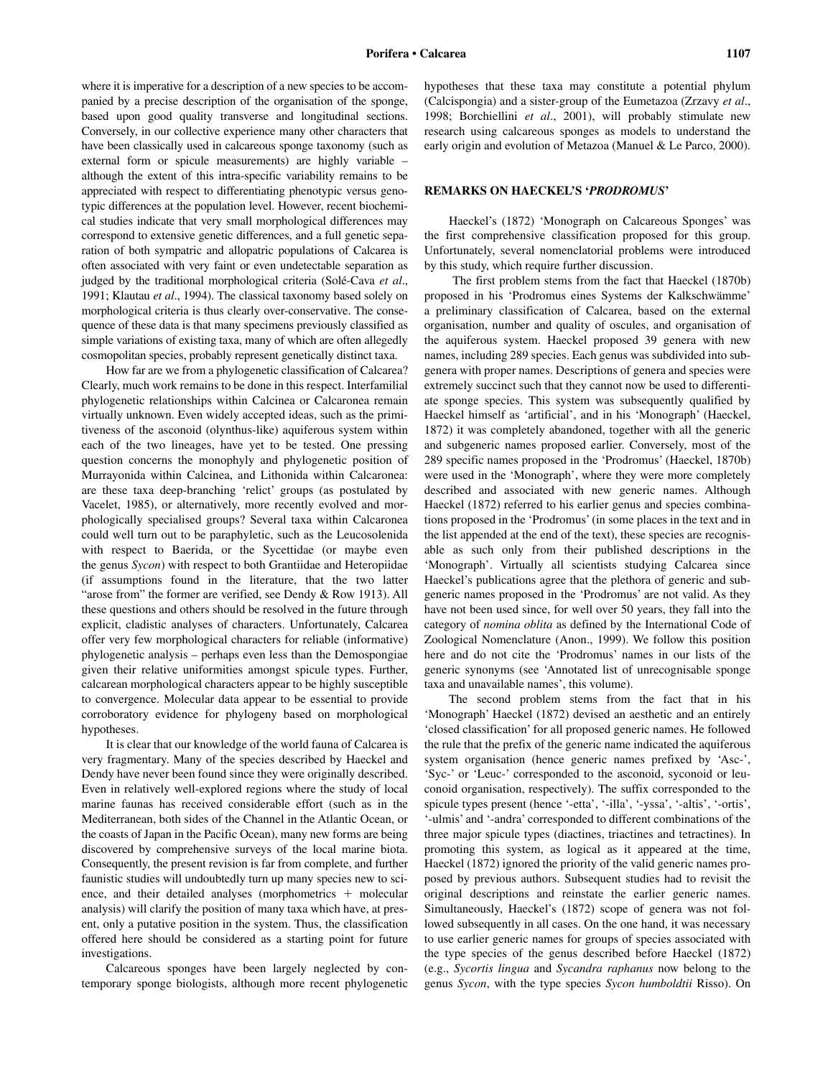where it is imperative for a description of a new species to be accompanied by a precise description of the organisation of the sponge, based upon good quality transverse and longitudinal sections. Conversely, in our collective experience many other characters that have been classically used in calcareous sponge taxonomy (such as external form or spicule measurements) are highly variable – although the extent of this intra-specific variability remains to be appreciated with respect to differentiating phenotypic versus genotypic differences at the population level. However, recent biochemical studies indicate that very small morphological differences may correspond to extensive genetic differences, and a full genetic separation of both sympatric and allopatric populations of Calcarea is often associated with very faint or even undetectable separation as judged by the traditional morphological criteria (Solé-Cava *et al*., 1991; Klautau *et al*., 1994). The classical taxonomy based solely on morphological criteria is thus clearly over-conservative. The consequence of these data is that many specimens previously classified as simple variations of existing taxa, many of which are often allegedly cosmopolitan species, probably represent genetically distinct taxa.

How far are we from a phylogenetic classification of Calcarea? Clearly, much work remains to be done in this respect. Interfamilial phylogenetic relationships within Calcinea or Calcaronea remain virtually unknown. Even widely accepted ideas, such as the primitiveness of the asconoid (olynthus-like) aquiferous system within each of the two lineages, have yet to be tested. One pressing question concerns the monophyly and phylogenetic position of Murrayonida within Calcinea, and Lithonida within Calcaronea: are these taxa deep-branching 'relict' groups (as postulated by Vacelet, 1985), or alternatively, more recently evolved and morphologically specialised groups? Several taxa within Calcaronea could well turn out to be paraphyletic, such as the Leucosolenida with respect to Baerida, or the Sycettidae (or maybe even the genus *Sycon*) with respect to both Grantiidae and Heteropiidae (if assumptions found in the literature, that the two latter "arose from" the former are verified, see Dendy & Row 1913). All these questions and others should be resolved in the future through explicit, cladistic analyses of characters. Unfortunately, Calcarea offer very few morphological characters for reliable (informative) phylogenetic analysis – perhaps even less than the Demospongiae given their relative uniformities amongst spicule types. Further, calcarean morphological characters appear to be highly susceptible to convergence. Molecular data appear to be essential to provide corroboratory evidence for phylogeny based on morphological hypotheses.

It is clear that our knowledge of the world fauna of Calcarea is very fragmentary. Many of the species described by Haeckel and Dendy have never been found since they were originally described. Even in relatively well-explored regions where the study of local marine faunas has received considerable effort (such as in the Mediterranean, both sides of the Channel in the Atlantic Ocean, or the coasts of Japan in the Pacific Ocean), many new forms are being discovered by comprehensive surveys of the local marine biota. Consequently, the present revision is far from complete, and further faunistic studies will undoubtedly turn up many species new to science, and their detailed analyses (morphometrics  $+$  molecular analysis) will clarify the position of many taxa which have, at present, only a putative position in the system. Thus, the classification offered here should be considered as a starting point for future investigations.

Calcareous sponges have been largely neglected by contemporary sponge biologists, although more recent phylogenetic hypotheses that these taxa may constitute a potential phylum (Calcispongia) and a sister-group of the Eumetazoa (Zrzavy *et al*., 1998; Borchiellini *et al*., 2001), will probably stimulate new research using calcareous sponges as models to understand the early origin and evolution of Metazoa (Manuel & Le Parco, 2000).

## **REMARKS ON HAECKEL'S '***PRODROMUS***'**

Haeckel's (1872) 'Monograph on Calcareous Sponges' was the first comprehensive classification proposed for this group. Unfortunately, several nomenclatorial problems were introduced by this study, which require further discussion.

The first problem stems from the fact that Haeckel (1870b) proposed in his 'Prodromus eines Systems der Kalkschwämme' a preliminary classification of Calcarea, based on the external organisation, number and quality of oscules, and organisation of the aquiferous system. Haeckel proposed 39 genera with new names, including 289 species. Each genus was subdivided into subgenera with proper names. Descriptions of genera and species were extremely succinct such that they cannot now be used to differentiate sponge species. This system was subsequently qualified by Haeckel himself as 'artificial', and in his 'Monograph' (Haeckel, 1872) it was completely abandoned, together with all the generic and subgeneric names proposed earlier. Conversely, most of the 289 specific names proposed in the 'Prodromus' (Haeckel, 1870b) were used in the 'Monograph', where they were more completely described and associated with new generic names. Although Haeckel (1872) referred to his earlier genus and species combinations proposed in the 'Prodromus' (in some places in the text and in the list appended at the end of the text), these species are recognisable as such only from their published descriptions in the 'Monograph'. Virtually all scientists studying Calcarea since Haeckel's publications agree that the plethora of generic and subgeneric names proposed in the 'Prodromus' are not valid. As they have not been used since, for well over 50 years, they fall into the category of *nomina oblita* as defined by the International Code of Zoological Nomenclature (Anon., 1999). We follow this position here and do not cite the 'Prodromus' names in our lists of the generic synonyms (see 'Annotated list of unrecognisable sponge taxa and unavailable names', this volume).

The second problem stems from the fact that in his 'Monograph' Haeckel (1872) devised an aesthetic and an entirely 'closed classification' for all proposed generic names. He followed the rule that the prefix of the generic name indicated the aquiferous system organisation (hence generic names prefixed by 'Asc-', 'Syc-' or 'Leuc-' corresponded to the asconoid, syconoid or leuconoid organisation, respectively). The suffix corresponded to the spicule types present (hence '-etta', '-illa', '-yssa', '-altis', '-ortis', '-ulmis' and '-andra' corresponded to different combinations of the three major spicule types (diactines, triactines and tetractines). In promoting this system, as logical as it appeared at the time, Haeckel (1872) ignored the priority of the valid generic names proposed by previous authors. Subsequent studies had to revisit the original descriptions and reinstate the earlier generic names. Simultaneously, Haeckel's (1872) scope of genera was not followed subsequently in all cases. On the one hand, it was necessary to use earlier generic names for groups of species associated with the type species of the genus described before Haeckel (1872) (e.g., *Sycortis lingua* and *Sycandra raphanus* now belong to the genus *Sycon*, with the type species *Sycon humboldtii* Risso). On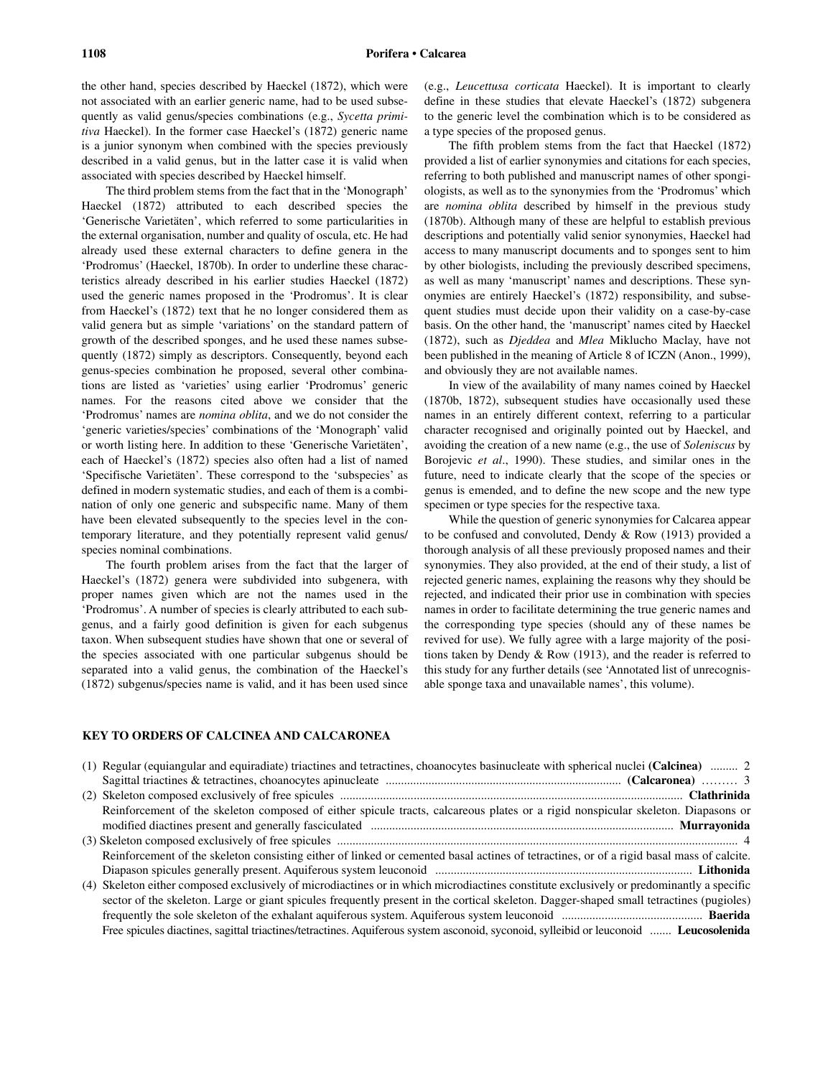the other hand, species described by Haeckel (1872), which were not associated with an earlier generic name, had to be used subsequently as valid genus/species combinations (e.g., *Sycetta primitiva* Haeckel). In the former case Haeckel's (1872) generic name is a junior synonym when combined with the species previously described in a valid genus, but in the latter case it is valid when associated with species described by Haeckel himself.

The third problem stems from the fact that in the 'Monograph' Haeckel (1872) attributed to each described species the 'Generische Varietäten', which referred to some particularities in the external organisation, number and quality of oscula, etc. He had already used these external characters to define genera in the 'Prodromus' (Haeckel, 1870b). In order to underline these characteristics already described in his earlier studies Haeckel (1872) used the generic names proposed in the 'Prodromus'. It is clear from Haeckel's (1872) text that he no longer considered them as valid genera but as simple 'variations' on the standard pattern of growth of the described sponges, and he used these names subsequently (1872) simply as descriptors. Consequently, beyond each genus-species combination he proposed, several other combinations are listed as 'varieties' using earlier 'Prodromus' generic names. For the reasons cited above we consider that the 'Prodromus' names are *nomina oblita*, and we do not consider the 'generic varieties/species' combinations of the 'Monograph' valid or worth listing here. In addition to these 'Generische Varietäten', each of Haeckel's (1872) species also often had a list of named 'Specifische Varietäten'. These correspond to the 'subspecies' as defined in modern systematic studies, and each of them is a combination of only one generic and subspecific name. Many of them have been elevated subsequently to the species level in the contemporary literature, and they potentially represent valid genus/ species nominal combinations.

The fourth problem arises from the fact that the larger of Haeckel's (1872) genera were subdivided into subgenera, with proper names given which are not the names used in the 'Prodromus'. A number of species is clearly attributed to each subgenus, and a fairly good definition is given for each subgenus taxon. When subsequent studies have shown that one or several of the species associated with one particular subgenus should be separated into a valid genus, the combination of the Haeckel's (1872) subgenus/species name is valid, and it has been used since

(e.g., *Leucettusa corticata* Haeckel). It is important to clearly define in these studies that elevate Haeckel's (1872) subgenera to the generic level the combination which is to be considered as a type species of the proposed genus.

The fifth problem stems from the fact that Haeckel (1872) provided a list of earlier synonymies and citations for each species, referring to both published and manuscript names of other spongiologists, as well as to the synonymies from the 'Prodromus' which are *nomina oblita* described by himself in the previous study (1870b). Although many of these are helpful to establish previous descriptions and potentially valid senior synonymies, Haeckel had access to many manuscript documents and to sponges sent to him by other biologists, including the previously described specimens, as well as many 'manuscript' names and descriptions. These synonymies are entirely Haeckel's (1872) responsibility, and subsequent studies must decide upon their validity on a case-by-case basis. On the other hand, the 'manuscript' names cited by Haeckel (1872), such as *Djeddea* and *Mlea* Miklucho Maclay, have not been published in the meaning of Article 8 of ICZN (Anon., 1999), and obviously they are not available names.

In view of the availability of many names coined by Haeckel (1870b, 1872), subsequent studies have occasionally used these names in an entirely different context, referring to a particular character recognised and originally pointed out by Haeckel, and avoiding the creation of a new name (e.g., the use of *Soleniscus* by Borojevic *et al*., 1990). These studies, and similar ones in the future, need to indicate clearly that the scope of the species or genus is emended, and to define the new scope and the new type specimen or type species for the respective taxa.

While the question of generic synonymies for Calcarea appear to be confused and convoluted, Dendy & Row (1913) provided a thorough analysis of all these previously proposed names and their synonymies. They also provided, at the end of their study, a list of rejected generic names, explaining the reasons why they should be rejected, and indicated their prior use in combination with species names in order to facilitate determining the true generic names and the corresponding type species (should any of these names be revived for use). We fully agree with a large majority of the positions taken by Dendy & Row (1913), and the reader is referred to this study for any further details (see 'Annotated list of unrecognisable sponge taxa and unavailable names', this volume).

## **KEY TO ORDERS OF CALCINEA AND CALCARONEA**

| (1) Regular (equiangular and equiradiate) triactines and tetractines, choanocytes basinucleate with spherical nuclei (Calcinea)  2       |
|------------------------------------------------------------------------------------------------------------------------------------------|
|                                                                                                                                          |
|                                                                                                                                          |
| Reinforcement of the skeleton composed of either spicule tracts, calcareous plates or a rigid nonspicular skeleton. Diapasons or         |
|                                                                                                                                          |
|                                                                                                                                          |
| Reinforcement of the skeleton consisting either of linked or cemented basal actines of tetractines, or of a rigid basal mass of calcite. |
|                                                                                                                                          |
| (4) Skeleton either composed exclusively of microdiactines or in which microdiactines constitute exclusively or predominantly a specific |
| sector of the skeleton. Large or giant spicules frequently present in the cortical skeleton. Dagger-shaped small tetractines (pugioles)  |
|                                                                                                                                          |
| Free spicules diactines, sagittal triactines/tetractines. Aquiferous system asconoid, syconoid, sylleibid or leuconoid  Leucosolenida    |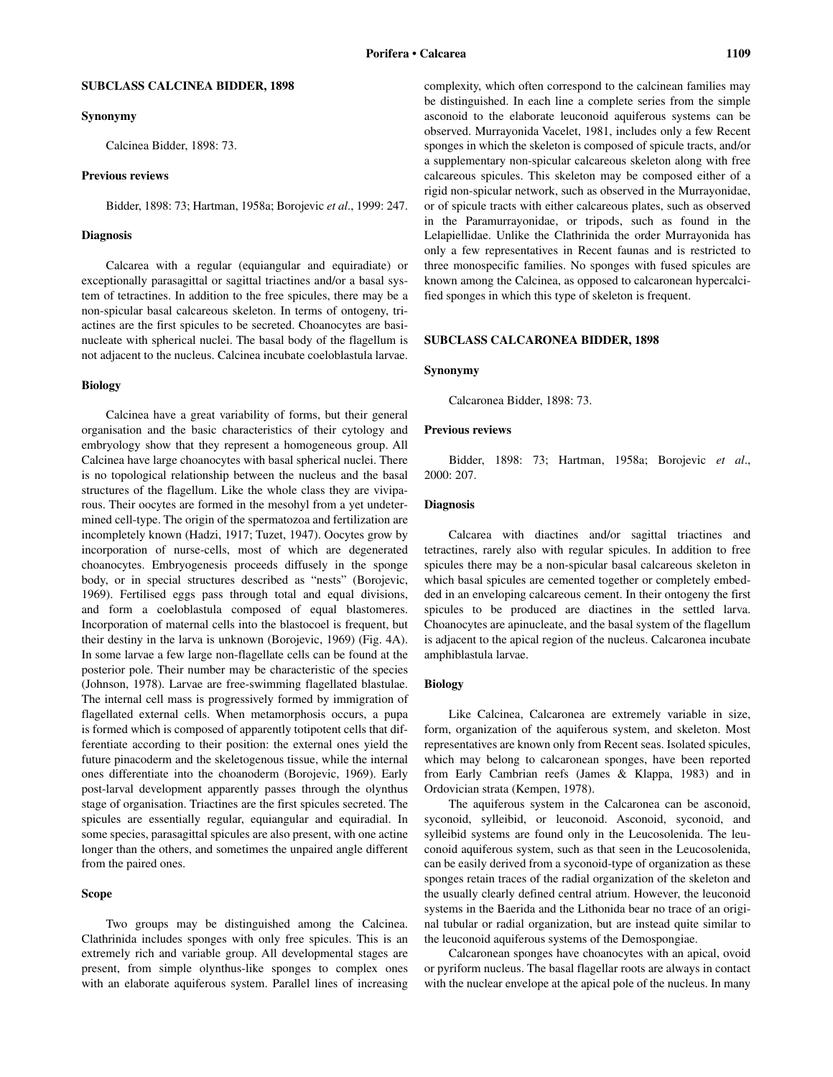## **SUBCLASS CALCINEA BIDDER, 1898**

#### **Synonymy**

Calcinea Bidder, 1898: 73.

#### **Previous reviews**

Bidder, 1898: 73; Hartman, 1958a; Borojevic *et al*., 1999: 247.

#### **Diagnosis**

Calcarea with a regular (equiangular and equiradiate) or exceptionally parasagittal or sagittal triactines and/or a basal system of tetractines. In addition to the free spicules, there may be a non-spicular basal calcareous skeleton. In terms of ontogeny, triactines are the first spicules to be secreted. Choanocytes are basinucleate with spherical nuclei. The basal body of the flagellum is not adjacent to the nucleus. Calcinea incubate coeloblastula larvae.

## **Biology**

Calcinea have a great variability of forms, but their general organisation and the basic characteristics of their cytology and embryology show that they represent a homogeneous group. All Calcinea have large choanocytes with basal spherical nuclei. There is no topological relationship between the nucleus and the basal structures of the flagellum. Like the whole class they are viviparous. Their oocytes are formed in the mesohyl from a yet undetermined cell-type. The origin of the spermatozoa and fertilization are incompletely known (Hadzi, 1917; Tuzet, 1947). Oocytes grow by incorporation of nurse-cells, most of which are degenerated choanocytes. Embryogenesis proceeds diffusely in the sponge body, or in special structures described as "nests" (Borojevic, 1969). Fertilised eggs pass through total and equal divisions, and form a coeloblastula composed of equal blastomeres. Incorporation of maternal cells into the blastocoel is frequent, but their destiny in the larva is unknown (Borojevic, 1969) (Fig. 4A). In some larvae a few large non-flagellate cells can be found at the posterior pole. Their number may be characteristic of the species (Johnson, 1978). Larvae are free-swimming flagellated blastulae. The internal cell mass is progressively formed by immigration of flagellated external cells. When metamorphosis occurs, a pupa is formed which is composed of apparently totipotent cells that differentiate according to their position: the external ones yield the future pinacoderm and the skeletogenous tissue, while the internal ones differentiate into the choanoderm (Borojevic, 1969). Early post-larval development apparently passes through the olynthus stage of organisation. Triactines are the first spicules secreted. The spicules are essentially regular, equiangular and equiradial. In some species, parasagittal spicules are also present, with one actine longer than the others, and sometimes the unpaired angle different from the paired ones.

## **Scope**

Two groups may be distinguished among the Calcinea. Clathrinida includes sponges with only free spicules. This is an extremely rich and variable group. All developmental stages are present, from simple olynthus-like sponges to complex ones with an elaborate aquiferous system. Parallel lines of increasing

be distinguished. In each line a complete series from the simple asconoid to the elaborate leuconoid aquiferous systems can be observed. Murrayonida Vacelet, 1981, includes only a few Recent sponges in which the skeleton is composed of spicule tracts, and/or a supplementary non-spicular calcareous skeleton along with free calcareous spicules. This skeleton may be composed either of a rigid non-spicular network, such as observed in the Murrayonidae, or of spicule tracts with either calcareous plates, such as observed in the Paramurrayonidae, or tripods, such as found in the Lelapiellidae. Unlike the Clathrinida the order Murrayonida has only a few representatives in Recent faunas and is restricted to three monospecific families. No sponges with fused spicules are known among the Calcinea, as opposed to calcaronean hypercalcified sponges in which this type of skeleton is frequent.

#### **SUBCLASS CALCARONEA BIDDER, 1898**

#### **Synonymy**

Calcaronea Bidder, 1898: 73.

## **Previous reviews**

Bidder, 1898: 73; Hartman, 1958a; Borojevic *et al*., 2000: 207.

## **Diagnosis**

Calcarea with diactines and/or sagittal triactines and tetractines, rarely also with regular spicules. In addition to free spicules there may be a non-spicular basal calcareous skeleton in which basal spicules are cemented together or completely embedded in an enveloping calcareous cement. In their ontogeny the first spicules to be produced are diactines in the settled larva. Choanocytes are apinucleate, and the basal system of the flagellum is adjacent to the apical region of the nucleus. Calcaronea incubate amphiblastula larvae.

#### **Biology**

Like Calcinea, Calcaronea are extremely variable in size, form, organization of the aquiferous system, and skeleton. Most representatives are known only from Recent seas. Isolated spicules, which may belong to calcaronean sponges, have been reported from Early Cambrian reefs (James & Klappa, 1983) and in Ordovician strata (Kempen, 1978).

The aquiferous system in the Calcaronea can be asconoid, syconoid, sylleibid, or leuconoid. Asconoid, syconoid, and sylleibid systems are found only in the Leucosolenida. The leuconoid aquiferous system, such as that seen in the Leucosolenida, can be easily derived from a syconoid-type of organization as these sponges retain traces of the radial organization of the skeleton and the usually clearly defined central atrium. However, the leuconoid systems in the Baerida and the Lithonida bear no trace of an original tubular or radial organization, but are instead quite similar to the leuconoid aquiferous systems of the Demospongiae.

Calcaronean sponges have choanocytes with an apical, ovoid or pyriform nucleus. The basal flagellar roots are always in contact with the nuclear envelope at the apical pole of the nucleus. In many